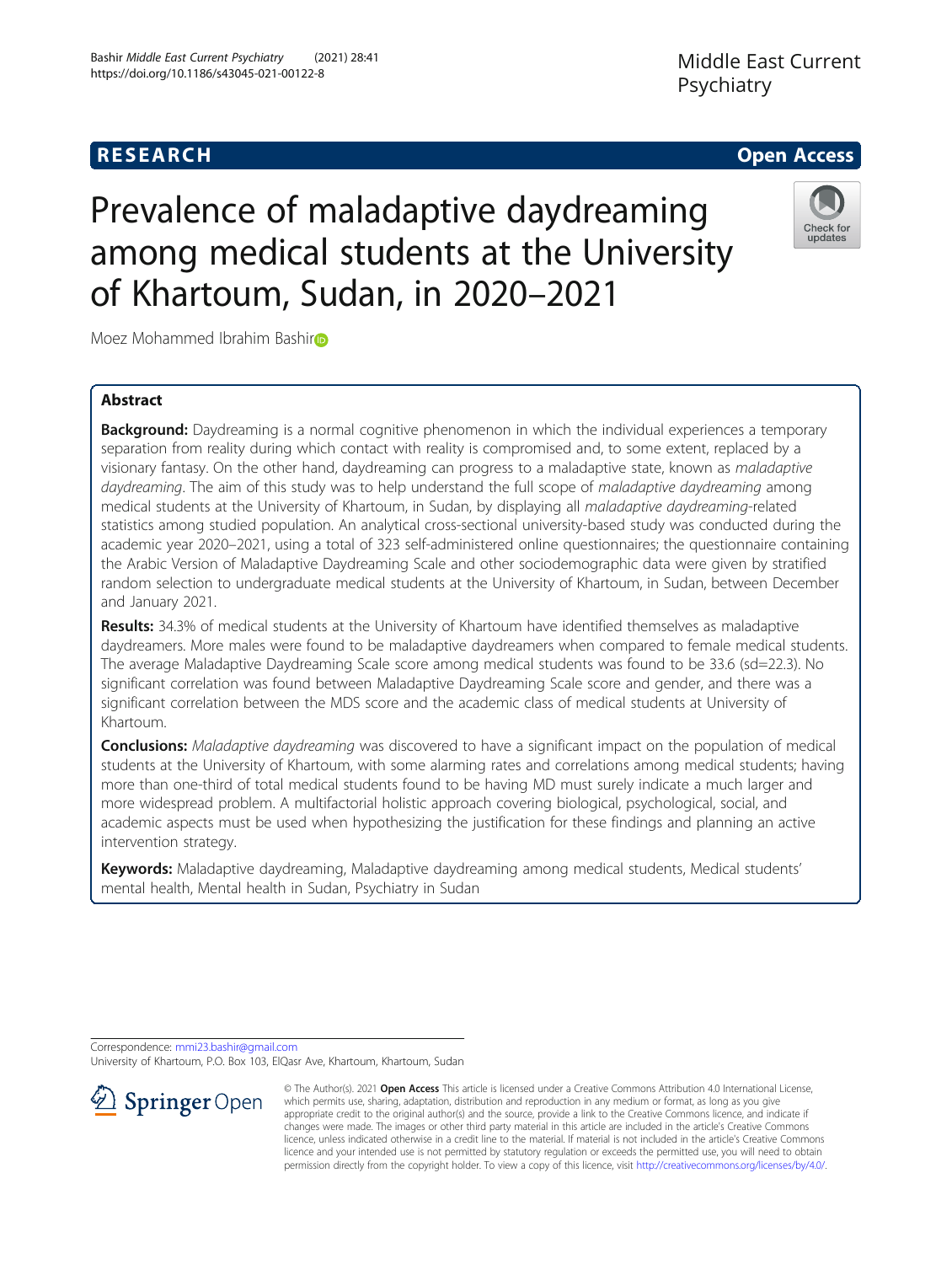## **RESEARCH CHE Open Access**

# Check for updates

# Prevalence of maladaptive daydreaming among medical students at the University of Khartoum, Sudan, in 2020–2021

Moez Mohammed Ibrahim Bashir<sup>o</sup>

### Abstract

Background: Daydreaming is a normal cognitive phenomenon in which the individual experiences a temporary separation from reality during which contact with reality is compromised and, to some extent, replaced by a visionary fantasy. On the other hand, daydreaming can progress to a maladaptive state, known as maladaptive daydreaming. The aim of this study was to help understand the full scope of maladaptive daydreaming among medical students at the University of Khartoum, in Sudan, by displaying all maladaptive daydreaming-related statistics among studied population. An analytical cross-sectional university-based study was conducted during the academic year 2020–2021, using a total of 323 self-administered online questionnaires; the questionnaire containing the Arabic Version of Maladaptive Daydreaming Scale and other sociodemographic data were given by stratified random selection to undergraduate medical students at the University of Khartoum, in Sudan, between December and January 2021.

Results: 34.3% of medical students at the University of Khartoum have identified themselves as maladaptive daydreamers. More males were found to be maladaptive daydreamers when compared to female medical students. The average Maladaptive Daydreaming Scale score among medical students was found to be 33.6 (sd=22.3). No significant correlation was found between Maladaptive Daydreaming Scale score and gender, and there was a significant correlation between the MDS score and the academic class of medical students at University of Khartoum.

**Conclusions:** Maladaptive daydreaming was discovered to have a significant impact on the population of medical students at the University of Khartoum, with some alarming rates and correlations among medical students; having more than one-third of total medical students found to be having MD must surely indicate a much larger and more widespread problem. A multifactorial holistic approach covering biological, psychological, social, and academic aspects must be used when hypothesizing the justification for these findings and planning an active intervention strategy.

Keywords: Maladaptive daydreaming, Maladaptive daydreaming among medical students, Medical students' mental health, Mental health in Sudan, Psychiatry in Sudan

Correspondence: [mmi23.bashir@gmail.com](mailto:mmi23.bashir@gmail.com)

University of Khartoum, P.O. Box 103, ElQasr Ave, Khartoum, Khartoum, Sudan



© The Author(s). 2021 Open Access This article is licensed under a Creative Commons Attribution 4.0 International License, which permits use, sharing, adaptation, distribution and reproduction in any medium or format, as long as you give appropriate credit to the original author(s) and the source, provide a link to the Creative Commons licence, and indicate if changes were made. The images or other third party material in this article are included in the article's Creative Commons licence, unless indicated otherwise in a credit line to the material. If material is not included in the article's Creative Commons licence and your intended use is not permitted by statutory regulation or exceeds the permitted use, you will need to obtain permission directly from the copyright holder. To view a copy of this licence, visit <http://creativecommons.org/licenses/by/4.0/>.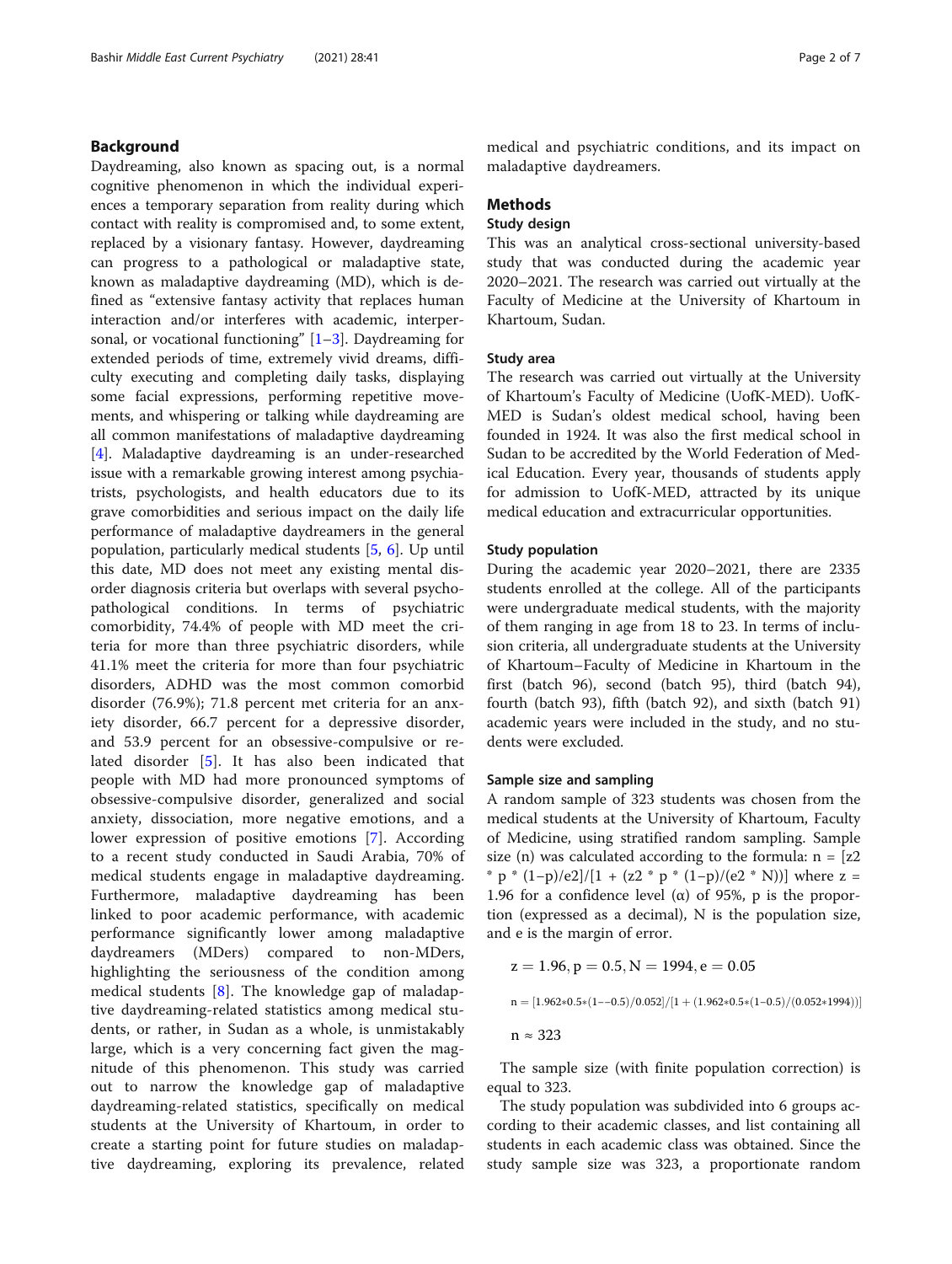#### Background

Daydreaming, also known as spacing out, is a normal cognitive phenomenon in which the individual experiences a temporary separation from reality during which contact with reality is compromised and, to some extent, replaced by a visionary fantasy. However, daydreaming can progress to a pathological or maladaptive state, known as maladaptive daydreaming (MD), which is defined as "extensive fantasy activity that replaces human interaction and/or interferes with academic, interpersonal, or vocational functioning" [[1](#page-6-0)–[3\]](#page-6-0). Daydreaming for extended periods of time, extremely vivid dreams, difficulty executing and completing daily tasks, displaying some facial expressions, performing repetitive movements, and whispering or talking while daydreaming are all common manifestations of maladaptive daydreaming [[4\]](#page-6-0). Maladaptive daydreaming is an under-researched issue with a remarkable growing interest among psychiatrists, psychologists, and health educators due to its grave comorbidities and serious impact on the daily life performance of maladaptive daydreamers in the general population, particularly medical students [[5,](#page-6-0) [6](#page-6-0)]. Up until this date, MD does not meet any existing mental disorder diagnosis criteria but overlaps with several psychopathological conditions. In terms of psychiatric comorbidity, 74.4% of people with MD meet the criteria for more than three psychiatric disorders, while 41.1% meet the criteria for more than four psychiatric disorders, ADHD was the most common comorbid disorder (76.9%); 71.8 percent met criteria for an anxiety disorder, 66.7 percent for a depressive disorder, and 53.9 percent for an obsessive-compulsive or related disorder [\[5](#page-6-0)]. It has also been indicated that people with MD had more pronounced symptoms of obsessive-compulsive disorder, generalized and social anxiety, dissociation, more negative emotions, and a lower expression of positive emotions [[7\]](#page-6-0). According to a recent study conducted in Saudi Arabia, 70% of medical students engage in maladaptive daydreaming. Furthermore, maladaptive daydreaming has been linked to poor academic performance, with academic performance significantly lower among maladaptive daydreamers (MDers) compared to non-MDers, highlighting the seriousness of the condition among medical students [[8\]](#page-6-0). The knowledge gap of maladaptive daydreaming-related statistics among medical students, or rather, in Sudan as a whole, is unmistakably large, which is a very concerning fact given the magnitude of this phenomenon. This study was carried out to narrow the knowledge gap of maladaptive daydreaming-related statistics, specifically on medical students at the University of Khartoum, in order to create a starting point for future studies on maladaptive daydreaming, exploring its prevalence, related

medical and psychiatric conditions, and its impact on maladaptive daydreamers.

#### Methods

#### Study design

This was an analytical cross-sectional university-based study that was conducted during the academic year 2020–2021. The research was carried out virtually at the Faculty of Medicine at the University of Khartoum in Khartoum, Sudan.

#### Study area

The research was carried out virtually at the University of Khartoum's Faculty of Medicine (UofK-MED). UofK-MED is Sudan's oldest medical school, having been founded in 1924. It was also the first medical school in Sudan to be accredited by the World Federation of Medical Education. Every year, thousands of students apply for admission to UofK-MED, attracted by its unique medical education and extracurricular opportunities.

#### Study population

During the academic year 2020–2021, there are 2335 students enrolled at the college. All of the participants were undergraduate medical students, with the majority of them ranging in age from 18 to 23. In terms of inclusion criteria, all undergraduate students at the University of Khartoum–Faculty of Medicine in Khartoum in the first (batch 96), second (batch 95), third (batch 94), fourth (batch 93), fifth (batch 92), and sixth (batch 91) academic years were included in the study, and no students were excluded.

#### Sample size and sampling

A random sample of 323 students was chosen from the medical students at the University of Khartoum, Faculty of Medicine, using stratified random sampling. Sample size (n) was calculated according to the formula:  $n = [z2]$ \* p \*  $(1-p)/e2]/[1 + (z2 \cdot p \cdot (1-p)/(e2 \cdot N))]$  where z = 1.96 for a confidence level (α) of 95%, p is the proportion (expressed as a decimal), N is the population size, and e is the margin of error.

$$
z = 1.96, p = 0.5, N = 1994, e = 0.05
$$
\n
$$
n = [1.962*0.5*(1--0.5)/0.052]/[1 + (1.962*0.5*(1--0.5)/(0.052*1994))]
$$
\n
$$
n \approx 323
$$

The sample size (with finite population correction) is equal to 323.

The study population was subdivided into 6 groups according to their academic classes, and list containing all students in each academic class was obtained. Since the study sample size was 323, a proportionate random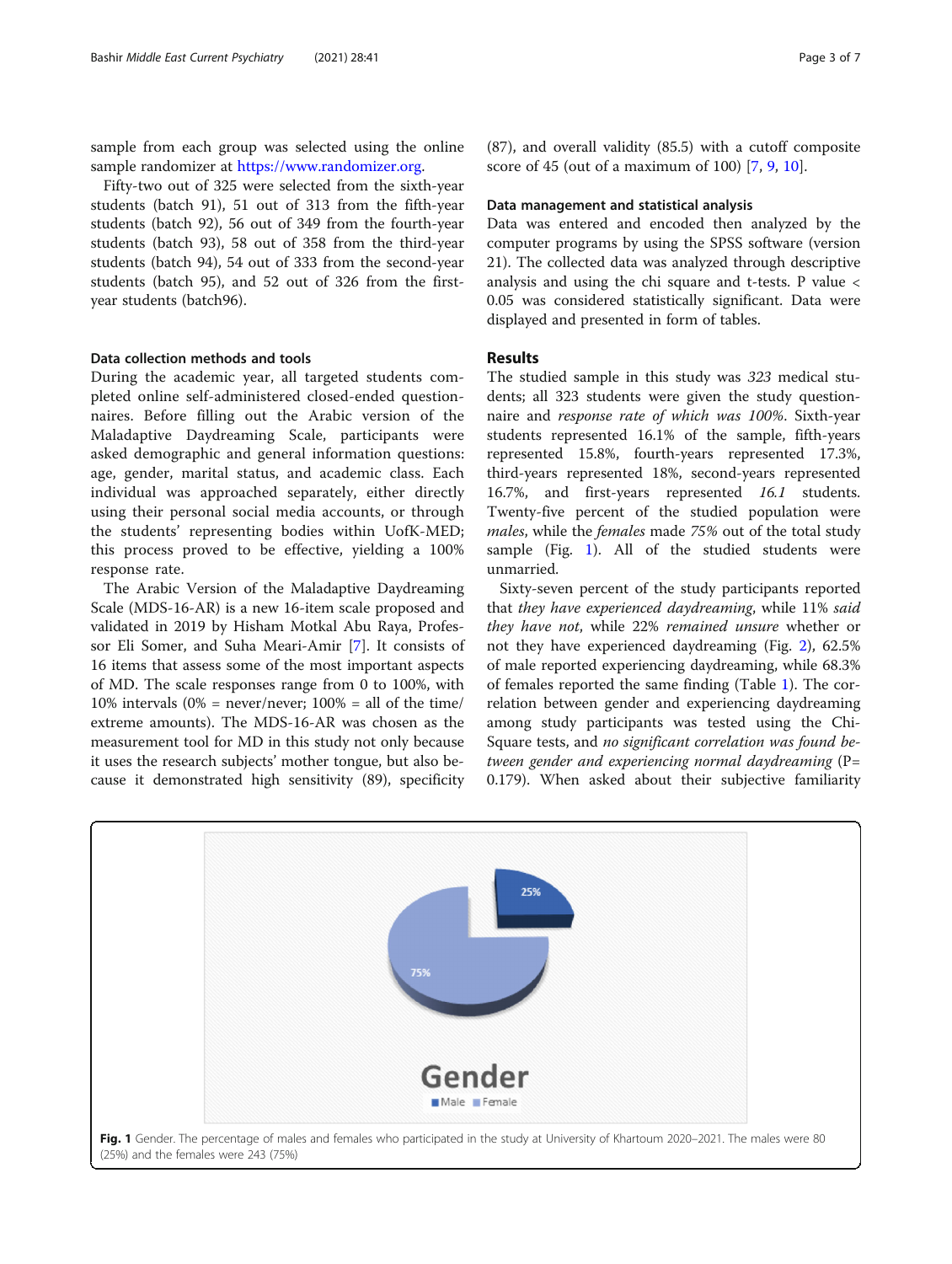<span id="page-2-0"></span>sample from each group was selected using the online sample randomizer at [https://www.randomizer.org.](https://www.randomizer.org)

Fifty-two out of 325 were selected from the sixth-year students (batch 91), 51 out of 313 from the fifth-year students (batch 92), 56 out of 349 from the fourth-year students (batch 93), 58 out of 358 from the third-year students (batch 94), 54 out of 333 from the second-year students (batch 95), and 52 out of 326 from the firstyear students (batch96).

#### Data collection methods and tools

During the academic year, all targeted students completed online self-administered closed-ended questionnaires. Before filling out the Arabic version of the Maladaptive Daydreaming Scale, participants were asked demographic and general information questions: age, gender, marital status, and academic class. Each individual was approached separately, either directly using their personal social media accounts, or through the students' representing bodies within UofK-MED; this process proved to be effective, yielding a 100% response rate.

The Arabic Version of the Maladaptive Daydreaming Scale (MDS-16-AR) is a new 16-item scale proposed and validated in 2019 by Hisham Motkal Abu Raya, Professor Eli Somer, and Suha Meari-Amir [\[7](#page-6-0)]. It consists of 16 items that assess some of the most important aspects of MD. The scale responses range from 0 to 100%, with 10% intervals  $(0\% = \text{never/never}$ ; 100% = all of the time/ extreme amounts). The MDS-16-AR was chosen as the measurement tool for MD in this study not only because it uses the research subjects' mother tongue, but also because it demonstrated high sensitivity (89), specificity

(87), and overall validity (85.5) with a cutoff composite score of 45 (out of a maximum of 100) [\[7](#page-6-0), [9](#page-6-0), [10\]](#page-6-0).

#### Data management and statistical analysis

Data was entered and encoded then analyzed by the computer programs by using the SPSS software (version 21). The collected data was analyzed through descriptive analysis and using the chi square and t-tests. P value < 0.05 was considered statistically significant. Data were displayed and presented in form of tables.

#### Results

The studied sample in this study was 323 medical students; all 323 students were given the study questionnaire and response rate of which was 100%. Sixth-year students represented 16.1% of the sample, fifth-years represented 15.8%, fourth-years represented 17.3%, third-years represented 18%, second-years represented 16.7%, and first-years represented 16.1 students. Twenty-five percent of the studied population were males, while the females made 75% out of the total study sample (Fig.  $1$ ). All of the studied students were unmarried.

Sixty-seven percent of the study participants reported that they have experienced daydreaming, while 11% said they have not, while 22% remained unsure whether or not they have experienced daydreaming (Fig. [2](#page-3-0)), 62.5% of male reported experiencing daydreaming, while 68.3% of females reported the same finding (Table [1\)](#page-3-0). The correlation between gender and experiencing daydreaming among study participants was tested using the Chi-Square tests, and no significant correlation was found between gender and experiencing normal daydreaming (P= 0.179). When asked about their subjective familiarity

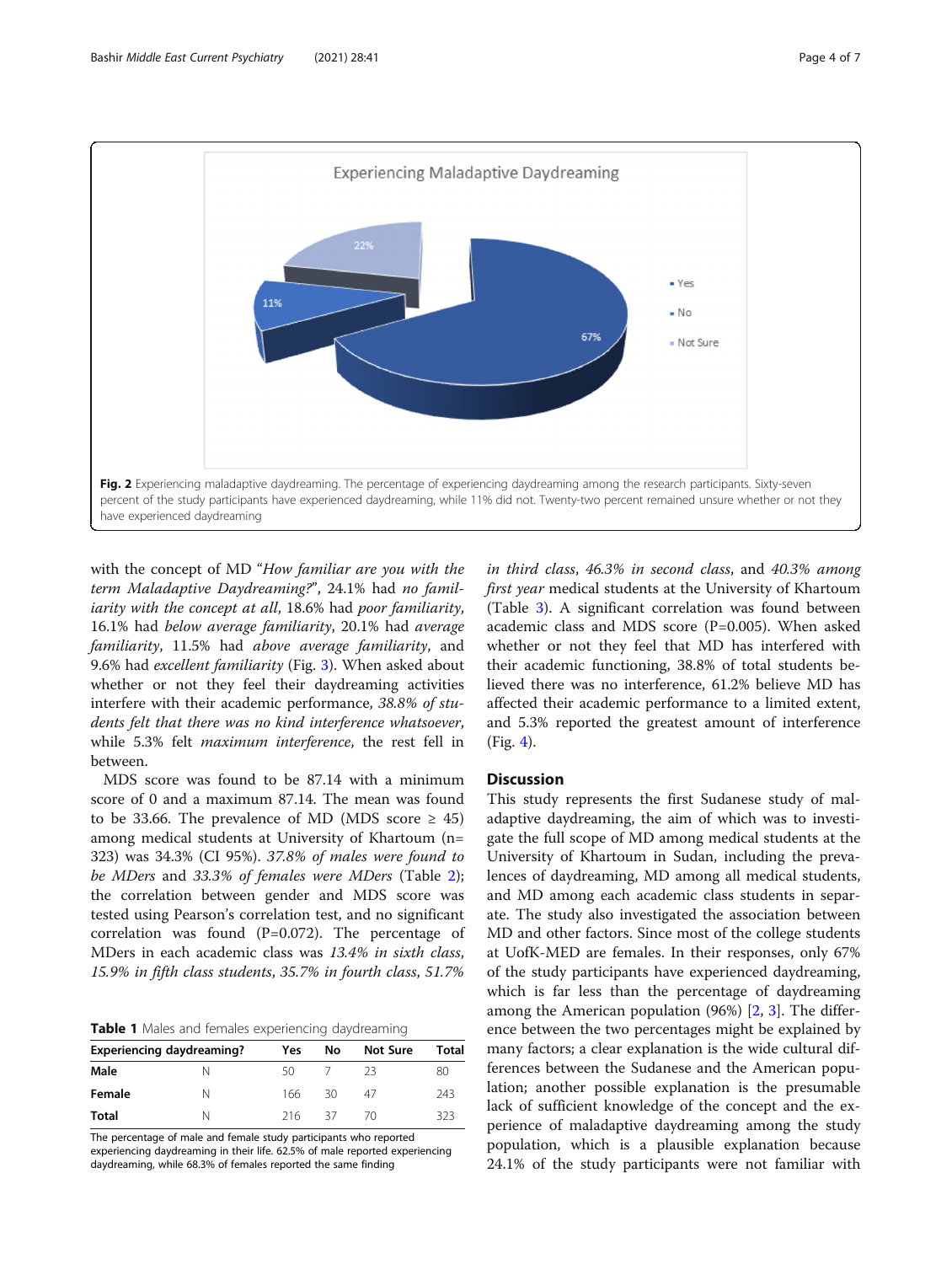<span id="page-3-0"></span>

with the concept of MD "How familiar are you with the term Maladaptive Daydreaming?", 24.1% had no familiarity with the concept at all, 18.6% had poor familiarity, 16.1% had below average familiarity, 20.1% had average familiarity, 11.5% had above average familiarity, and 9.6% had excellent familiarity (Fig. [3\)](#page-4-0). When asked about whether or not they feel their daydreaming activities interfere with their academic performance, 38.8% of students felt that there was no kind interference whatsoever, while 5.3% felt maximum interference, the rest fell in between.

MDS score was found to be 87.14 with a minimum score of 0 and a maximum 87.14. The mean was found to be 33.66. The prevalence of MD (MDS score  $\geq$  45) among medical students at University of Khartoum (n= 323) was 34.3% (CI 95%). 37.8% of males were found to be MDers and 33.3% of females were MDers (Table [2](#page-4-0)); the correlation between gender and MDS score was tested using Pearson's correlation test, and no significant correlation was found (P=0.072). The percentage of MDers in each academic class was 13.4% in sixth class, 15.9% in fifth class students, 35.7% in fourth class, 51.7%

Table 1 Males and females experiencing daydreaming

| <b>Experiencing daydreaming?</b> |  | Yes | No   | <b>Not Sure</b> | Total |  |
|----------------------------------|--|-----|------|-----------------|-------|--|
| Male                             |  | 50  |      | 23              | 80    |  |
| Female                           |  | 166 | 30   | 47              | 243   |  |
| Total                            |  | 216 | - 37 | 70              | ろうろ   |  |

The percentage of male and female study participants who reported experiencing daydreaming in their life. 62.5% of male reported experiencing daydreaming, while 68.3% of females reported the same finding

in third class, 46.3% in second class, and 40.3% among first year medical students at the University of Khartoum (Table [3](#page-4-0)). A significant correlation was found between academic class and MDS score (P=0.005). When asked whether or not they feel that MD has interfered with their academic functioning, 38.8% of total students believed there was no interference, 61.2% believe MD has affected their academic performance to a limited extent, and 5.3% reported the greatest amount of interference (Fig. [4](#page-5-0)).

#### Discussion

This study represents the first Sudanese study of maladaptive daydreaming, the aim of which was to investigate the full scope of MD among medical students at the University of Khartoum in Sudan, including the prevalences of daydreaming, MD among all medical students, and MD among each academic class students in separate. The study also investigated the association between MD and other factors. Since most of the college students at UofK-MED are females. In their responses, only 67% of the study participants have experienced daydreaming, which is far less than the percentage of daydreaming among the American population (96%) [[2,](#page-6-0) [3\]](#page-6-0). The difference between the two percentages might be explained by many factors; a clear explanation is the wide cultural differences between the Sudanese and the American population; another possible explanation is the presumable lack of sufficient knowledge of the concept and the experience of maladaptive daydreaming among the study population, which is a plausible explanation because 24.1% of the study participants were not familiar with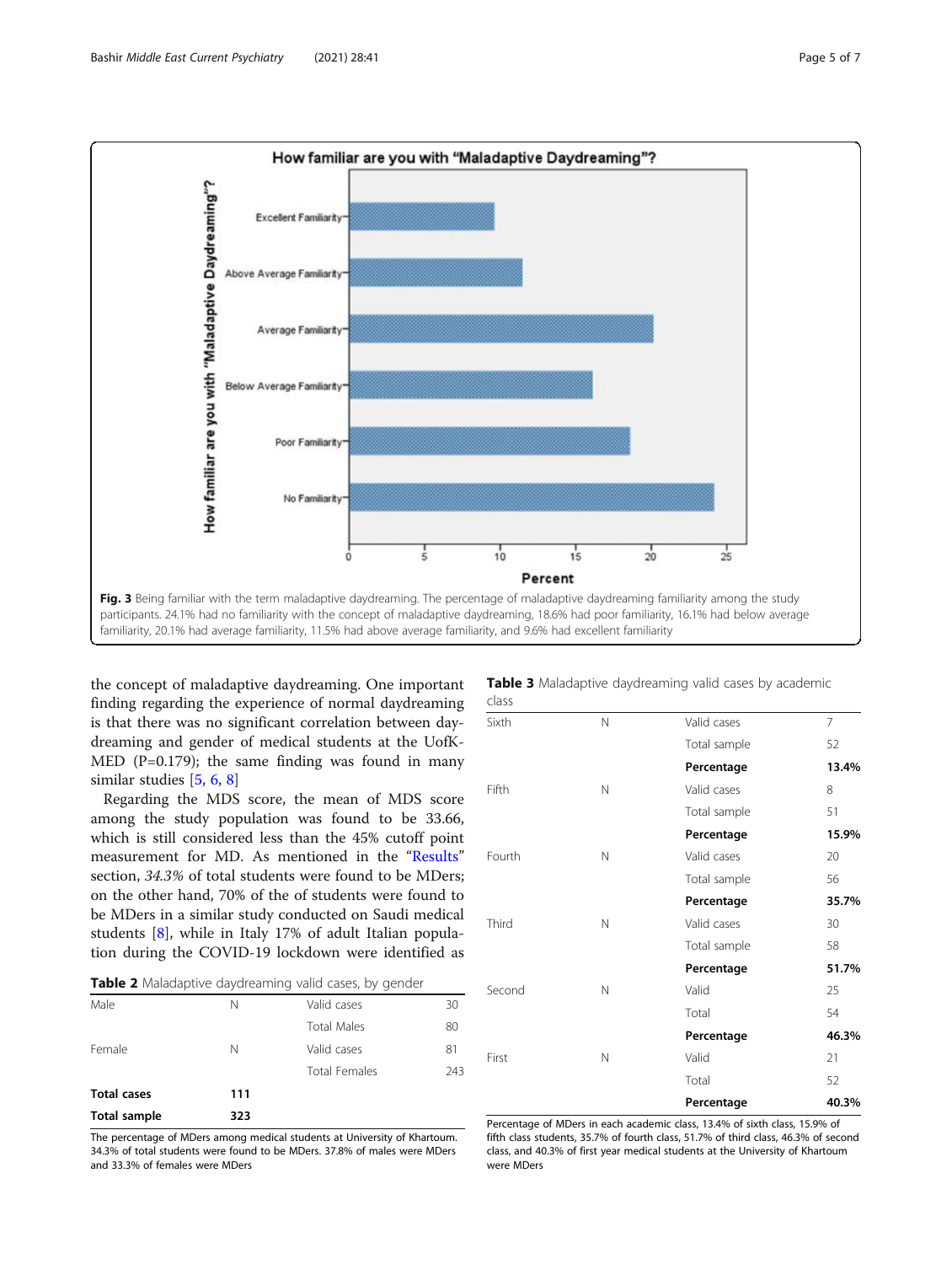<span id="page-4-0"></span>

the concept of maladaptive daydreaming. One important finding regarding the experience of normal daydreaming is that there was no significant correlation between daydreaming and gender of medical students at the UofK-MED ( $P=0.179$ ); the same finding was found in many similar studies [[5,](#page-6-0) [6,](#page-6-0) [8\]](#page-6-0)

Regarding the MDS score, the mean of MDS score among the study population was found to be 33.66, which is still considered less than the 45% cutoff point measurement for MD. As mentioned in the "[Results](#page-2-0)" section, 34.3% of total students were found to be MDers; on the other hand, 70% of the of students were found to be MDers in a similar study conducted on Saudi medical students [\[8](#page-6-0)], while in Italy 17% of adult Italian population during the COVID-19 lockdown were identified as

| Table 2 Maladaptive daydreaming valid cases, by gender |  |  |  |
|--------------------------------------------------------|--|--|--|
|--------------------------------------------------------|--|--|--|

| <b>Total sample</b> | 323 |                      |     |
|---------------------|-----|----------------------|-----|
| <b>Total cases</b>  | 111 |                      |     |
|                     |     | <b>Total Females</b> | 243 |
| Female              | N   | Valid cases          | 81  |
|                     |     | <b>Total Males</b>   | 80  |
| Male                | Ν   | Valid cases          | 30  |

The percentage of MDers among medical students at University of Khartoum. 34.3% of total students were found to be MDers. 37.8% of males were MDers and 33.3% of females were MDers

|       | Table 3 Maladaptive daydreaming valid cases by academic |  |  |
|-------|---------------------------------------------------------|--|--|
| class |                                                         |  |  |

| Sixth  | N | Valid cases  | $\overline{7}$ |
|--------|---|--------------|----------------|
|        |   | Total sample | 52             |
|        |   | Percentage   | 13.4%          |
| Fifth  | N | Valid cases  | 8              |
|        |   | Total sample | 51             |
|        |   | Percentage   | 15.9%          |
| Fourth | N | Valid cases  | 20             |
|        |   | Total sample | 56             |
|        |   | Percentage   | 35.7%          |
| Third  | N | Valid cases  | 30             |
|        |   | Total sample | 58             |
|        |   | Percentage   | 51.7%          |
| Second | N | Valid        | 25             |
|        |   | Total        | 54             |
|        |   | Percentage   | 46.3%          |
| First  | N | Valid        | 21             |
|        |   | Total        | 52             |
|        |   | Percentage   | 40.3%          |

Percentage of MDers in each academic class, 13.4% of sixth class, 15.9% of fifth class students, 35.7% of fourth class, 51.7% of third class, 46.3% of second class, and 40.3% of first year medical students at the University of Khartoum were MDers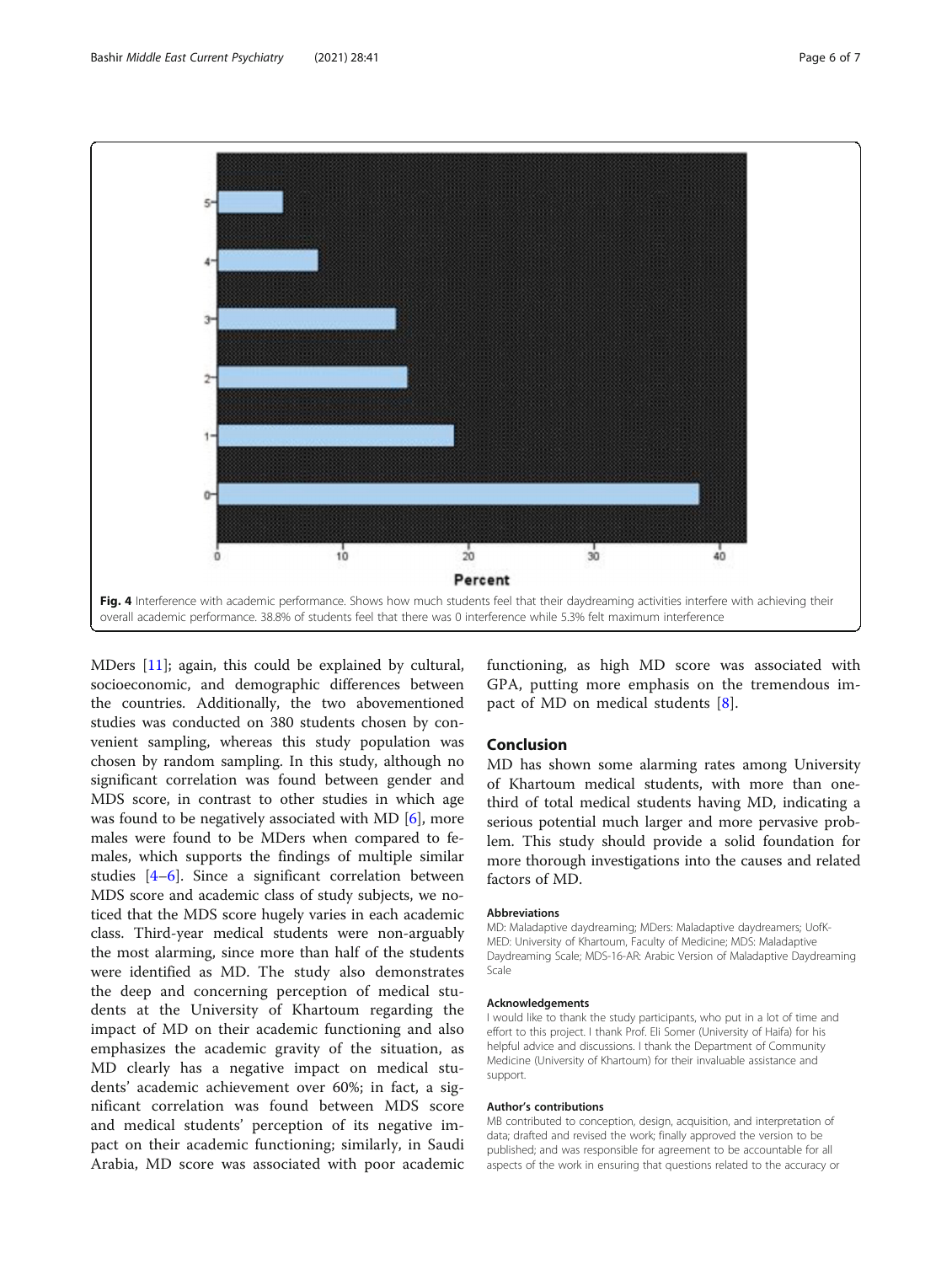<span id="page-5-0"></span>

MDers [\[11](#page-6-0)]; again, this could be explained by cultural, socioeconomic, and demographic differences between the countries. Additionally, the two abovementioned studies was conducted on 380 students chosen by convenient sampling, whereas this study population was chosen by random sampling. In this study, although no significant correlation was found between gender and MDS score, in contrast to other studies in which age was found to be negatively associated with MD [\[6\]](#page-6-0), more males were found to be MDers when compared to females, which supports the findings of multiple similar studies [[4](#page-6-0)–[6\]](#page-6-0). Since a significant correlation between MDS score and academic class of study subjects, we noticed that the MDS score hugely varies in each academic class. Third-year medical students were non-arguably the most alarming, since more than half of the students were identified as MD. The study also demonstrates the deep and concerning perception of medical students at the University of Khartoum regarding the impact of MD on their academic functioning and also emphasizes the academic gravity of the situation, as MD clearly has a negative impact on medical students' academic achievement over 60%; in fact, a significant correlation was found between MDS score and medical students' perception of its negative impact on their academic functioning; similarly, in Saudi Arabia, MD score was associated with poor academic

functioning, as high MD score was associated with GPA, putting more emphasis on the tremendous impact of MD on medical students [[8\]](#page-6-0).

#### Conclusion

MD has shown some alarming rates among University of Khartoum medical students, with more than onethird of total medical students having MD, indicating a serious potential much larger and more pervasive problem. This study should provide a solid foundation for more thorough investigations into the causes and related factors of MD.

#### **Abbreviations**

MD: Maladaptive daydreaming; MDers: Maladaptive daydreamers; UofK-MED: University of Khartoum, Faculty of Medicine; MDS: Maladaptive Daydreaming Scale; MDS-16-AR: Arabic Version of Maladaptive Daydreaming Scale

#### Acknowledgements

I would like to thank the study participants, who put in a lot of time and effort to this project. I thank Prof. Eli Somer (University of Haifa) for his helpful advice and discussions. I thank the Department of Community Medicine (University of Khartoum) for their invaluable assistance and support.

#### Author's contributions

MB contributed to conception, design, acquisition, and interpretation of data; drafted and revised the work; finally approved the version to be published; and was responsible for agreement to be accountable for all aspects of the work in ensuring that questions related to the accuracy or